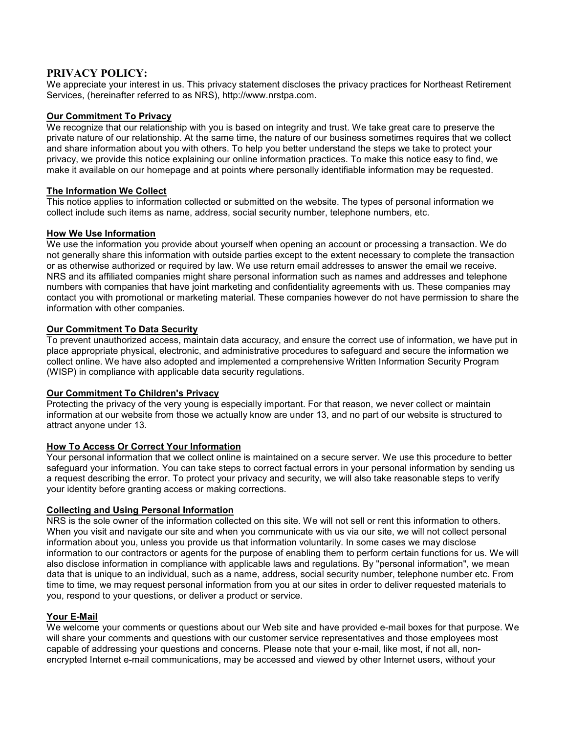# **PRIVACY POLICY:**

We appreciate your interest in us. This privacy statement discloses the privacy practices for Northeast Retirement Services, (hereinafter referred to as NRS), http://www.nrstpa.com.

# **Our Commitment To Privacy**

We recognize that our relationship with you is based on integrity and trust. We take great care to preserve the private nature of our relationship. At the same time, the nature of our business sometimes requires that we collect and share information about you with others. To help you better understand the steps we take to protect your privacy, we provide this notice explaining our online information practices. To make this notice easy to find, we make it available on our homepage and at points where personally identifiable information may be requested.

## **The Information We Collect**

This notice applies to information collected or submitted on the website. The types of personal information we collect include such items as name, address, social security number, telephone numbers, etc.

## **How We Use Information**

We use the information you provide about yourself when opening an account or processing a transaction. We do not generally share this information with outside parties except to the extent necessary to complete the transaction or as otherwise authorized or required by law. We use return email addresses to answer the email we receive. NRS and its affiliated companies might share personal information such as names and addresses and telephone numbers with companies that have joint marketing and confidentiality agreements with us. These companies may contact you with promotional or marketing material. These companies however do not have permission to share the information with other companies.

## **Our Commitment To Data Security**

To prevent unauthorized access, maintain data accuracy, and ensure the correct use of information, we have put in place appropriate physical, electronic, and administrative procedures to safeguard and secure the information we collect online. We have also adopted and implemented a comprehensive Written Information Security Program (WISP) in compliance with applicable data security regulations.

### **Our Commitment To Children's Privacy**

Protecting the privacy of the very young is especially important. For that reason, we never collect or maintain information at our website from those we actually know are under 13, and no part of our website is structured to attract anyone under 13.

### **How To Access Or Correct Your Information**

Your personal information that we collect online is maintained on a secure server. We use this procedure to better safeguard your information. You can take steps to correct factual errors in your personal information by sending us a request describing the error. To protect your privacy and security, we will also take reasonable steps to verify your identity before granting access or making corrections.

### **Collecting and Using Personal Information**

NRS is the sole owner of the information collected on this site. We will not sell or rent this information to others. When you visit and navigate our site and when you communicate with us via our site, we will not collect personal information about you, unless you provide us that information voluntarily. In some cases we may disclose information to our contractors or agents for the purpose of enabling them to perform certain functions for us. We will also disclose information in compliance with applicable laws and regulations. By "personal information", we mean data that is unique to an individual, such as a name, address, social security number, telephone number etc. From time to time, we may request personal information from you at our sites in order to deliver requested materials to you, respond to your questions, or deliver a product or service.

### **Your E-Mail**

We welcome your comments or questions about our Web site and have provided e-mail boxes for that purpose. We will share your comments and questions with our customer service representatives and those employees most capable of addressing your questions and concerns. Please note that your e-mail, like most, if not all, nonencrypted Internet e-mail communications, may be accessed and viewed by other Internet users, without your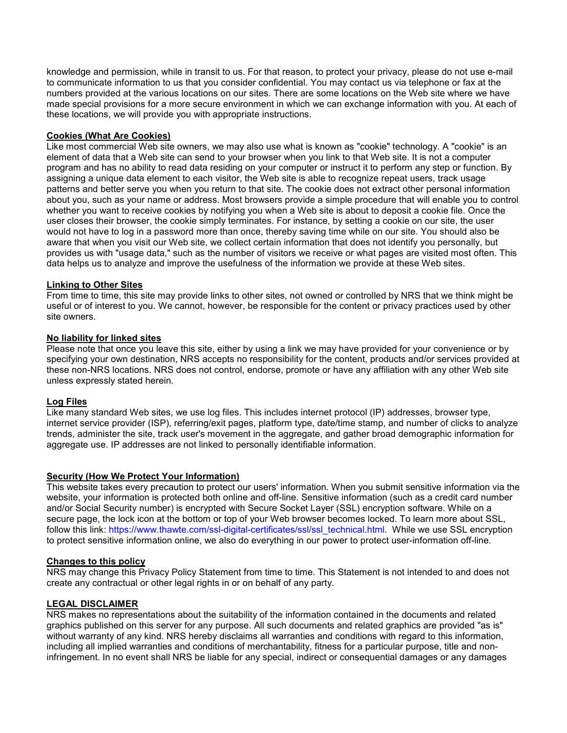knowledge and permission, while in transit to us. For that reason, to protect your privacy, please do not use e-mail to communicate information to us that you consider confidential. You may contact us via telephone or fax at the numbers provided at the various locations on our sites. There are some locations on the Web site where we have made special provisions for a more secure environment in which we can exchange information with you. At each of these locations, we will provide you with appropriate instructions.

# **Cookies (What Are Cookies)**

Like most commercial Web site owners, we may also use what is known as "cookie" technology. A "cookie" is an element of data that a Web site can send to your browser when you link to that Web site. It is not a computer program and has no ability to read data residing on your computer or instruct it to perform any step or function. By assigning a unique data element to each visitor, the Web site is able to recognize repeat users, track usage patterns and better serve you when you return to that site. The cookie does not extract other personal information about you, such as your name or address. Most browsers provide a simple procedure that will enable you to control whether you want to receive cookies by notifying you when a Web site is about to deposit a cookie file. Once the user closes their browser, the cookie simply terminates. For instance, by setting a cookie on our site, the user would not have to log in a password more than once, thereby saving time while on our site. You should also be aware that when you visit our Web site, we collect certain information that does not identify you personally, but provides us with "usage data," such as the number of visitors we receive or what pages are visited most often. This data helps us to analyze and improve the usefulness of the information we provide at these Web sites.

### **Linking to Other Sites**

From time to time, this site may provide links to other sites, not owned or controlled by NRS that we think might be useful or of interest to you. We cannot, however, be responsible for the content or privacy practices used by other site owners.

### **No liability for linked sites**

Please note that once you leave this site, either by using a link we may have provided for your convenience or by specifying your own destination, NRS accepts no responsibility for the content, products and/or services provided at these non-NRS locations. NRS does not control, endorse, promote or have any affiliation with any other Web site unless expressly stated herein.

### **Log Files**

Like many standard Web sites, we use log files. This includes internet protocol (IP) addresses, browser type, internet service provider (ISP), referring/exit pages, platform type, date/time stamp, and number of clicks to analyze trends, administer the site, track user's movement in the aggregate, and gather broad demographic information for aggregate use. IP addresses are not linked to personally identifiable information.

### **Security (How We Protect Your Information)**

This website takes every precaution to protect our users' information. When you submit sensitive information via the website, your information is protected both online and off-line. Sensitive information (such as a credit card number and/or Social Security number) is encrypted with Secure Socket Layer (SSL) encryption software. While on a secure page, the lock icon at the bottom or top of your Web browser becomes locked. To learn more about SSL, follow this link: https://www.thawte.com/ssl-digital-certificates/ssl/ssl\_technical.html. While we use SSL encryption to protect sensitive information online, we also do everything in our power to protect user-information off-line.

### **Changes to this policy**

NRS may change this Privacy Policy Statement from time to time. This Statement is not intended to and does not create any contractual or other legal rights in or on behalf of any party.

### **LEGAL DISCLAIMER**

NRS makes no representations about the suitability of the information contained in the documents and related graphics published on this server for any purpose. All such documents and related graphics are provided "as is" without warranty of any kind. NRS hereby disclaims all warranties and conditions with regard to this information, including all implied warranties and conditions of merchantability, fitness for a particular purpose, title and noninfringement. In no event shall NRS be liable for any special, indirect or consequential damages or any damages